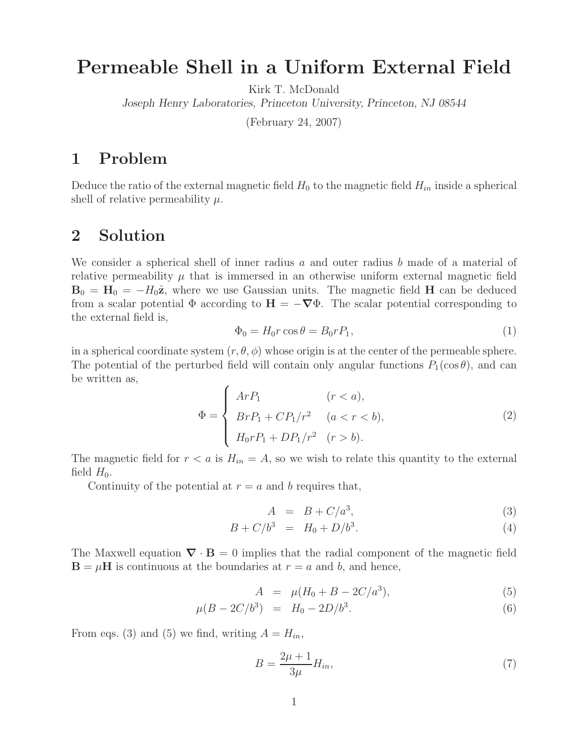## **Permeable Shell in a Uniform External Field**

Kirk T. McDonald

*Joseph Henry Laboratories, Princeton University, Princeton, NJ 08544*

(February 24, 2007)

## **1 Problem**

Deduce the ratio of the external magnetic field  $H_0$  to the magnetic field  $H_{in}$  inside a spherical shell of relative permeability  $\mu$ .

## **2 Solution**

We consider a spherical shell of inner radius a and outer radius b made of a material of relative permeability  $\mu$  that is immersed in an otherwise uniform external magnetic field  $\mathbf{B}_0 = \mathbf{H}_0 = -H_0\hat{\mathbf{z}}$ , where we use Gaussian units. The magnetic field **H** can be deduced from a scalar potential  $\Phi$  according to  $H = -\nabla \Phi$ . The scalar potential corresponding to the external field is,

$$
\Phi_0 = H_0 r \cos \theta = B_0 r P_1,\tag{1}
$$

in a spherical coordinate system  $(r, \theta, \phi)$  whose origin is at the center of the permeable sphere. The potential of the perturbed field will contain only angular functions  $P_1(\cos \theta)$ , and can be written as,

$$
\Phi = \begin{cases}\nArP_1 & (r < a), \\
BrP_1 + CP_1/r^2 & (a < r < b), \\
H_0rP_1 + DP_1/r^2 & (r > b).\n\end{cases}
$$
\n(2)

The magnetic field for  $r < a$  is  $H_{in} = A$ , so we wish to relate this quantity to the external field  $H_0$ .

Continuity of the potential at  $r = a$  and b requires that,

$$
A = B + C/a^3,\tag{3}
$$

$$
B + C/b^3 = H_0 + D/b^3.
$$
 (4)

The Maxwell equation  $\nabla \cdot \mathbf{B} = 0$  implies that the radial component of the magnetic field  $\mathbf{B} = \mu \mathbf{H}$  is continuous at the boundaries at  $r = a$  and b, and hence,

$$
A = \mu (H_0 + B - 2C/a^3), \tag{5}
$$

$$
\mu(B - 2C/b^3) = H_0 - 2D/b^3. \tag{6}
$$

From eqs. (3) and (5) we find, writing  $A = H_{in}$ ,

$$
B = \frac{2\mu + 1}{3\mu} H_{in},\tag{7}
$$